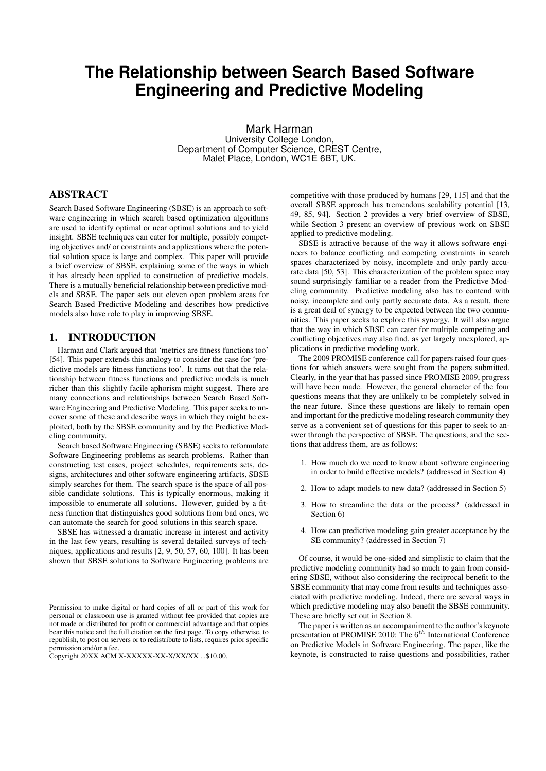# **The Relationship between Search Based Software Engineering and Predictive Modeling**

Mark Harman University College London, Department of Computer Science, CREST Centre, Malet Place, London, WC1E 6BT, UK.

#### ABSTRACT

Search Based Software Engineering (SBSE) is an approach to software engineering in which search based optimization algorithms are used to identify optimal or near optimal solutions and to yield insight. SBSE techniques can cater for multiple, possibly competing objectives and/ or constraints and applications where the potential solution space is large and complex. This paper will provide a brief overview of SBSE, explaining some of the ways in which it has already been applied to construction of predictive models. There is a mutually beneficial relationship between predictive models and SBSE. The paper sets out eleven open problem areas for Search Based Predictive Modeling and describes how predictive models also have role to play in improving SBSE.

#### 1. INTRODUCTION

Harman and Clark argued that 'metrics are fitness functions too' [54]. This paper extends this analogy to consider the case for 'predictive models are fitness functions too'. It turns out that the relationship between fitness functions and predictive models is much richer than this slightly facile aphorism might suggest. There are many connections and relationships between Search Based Software Engineering and Predictive Modeling. This paper seeks to uncover some of these and describe ways in which they might be exploited, both by the SBSE community and by the Predictive Modeling community.

Search based Software Engineering (SBSE) seeks to reformulate Software Engineering problems as search problems. Rather than constructing test cases, project schedules, requirements sets, designs, architectures and other software engineering artifacts, SBSE simply searches for them. The search space is the space of all possible candidate solutions. This is typically enormous, making it impossible to enumerate all solutions. However, guided by a fitness function that distinguishes good solutions from bad ones, we can automate the search for good solutions in this search space.

SBSE has witnessed a dramatic increase in interest and activity in the last few years, resulting is several detailed surveys of techniques, applications and results [2, 9, 50, 57, 60, 100]. It has been shown that SBSE solutions to Software Engineering problems are competitive with those produced by humans [29, 115] and that the overall SBSE approach has tremendous scalability potential [13, 49, 85, 94]. Section 2 provides a very brief overview of SBSE, while Section 3 present an overview of previous work on SBSE applied to predictive modeling.

SBSE is attractive because of the way it allows software engineers to balance conflicting and competing constraints in search spaces characterized by noisy, incomplete and only partly accurate data [50, 53]. This characterization of the problem space may sound surprisingly familiar to a reader from the Predictive Modeling community. Predictive modeling also has to contend with noisy, incomplete and only partly accurate data. As a result, there is a great deal of synergy to be expected between the two communities. This paper seeks to explore this synergy. It will also argue that the way in which SBSE can cater for multiple competing and conflicting objectives may also find, as yet largely unexplored, applications in predictive modeling work.

The 2009 PROMISE conference call for papers raised four questions for which answers were sought from the papers submitted. Clearly, in the year that has passed since PROMISE 2009, progress will have been made. However, the general character of the four questions means that they are unlikely to be completely solved in the near future. Since these questions are likely to remain open and important for the predictive modeling research community they serve as a convenient set of questions for this paper to seek to answer through the perspective of SBSE. The questions, and the sections that address them, are as follows:

- 1. How much do we need to know about software engineering in order to build effective models? (addressed in Section 4)
- 2. How to adapt models to new data? (addressed in Section 5)
- 3. How to streamline the data or the process? (addressed in Section 6)
- 4. How can predictive modeling gain greater acceptance by the SE community? (addressed in Section 7)

Of course, it would be one-sided and simplistic to claim that the predictive modeling community had so much to gain from considering SBSE, without also considering the reciprocal benefit to the SBSE community that may come from results and techniques associated with predictive modeling. Indeed, there are several ways in which predictive modeling may also benefit the SBSE community. These are briefly set out in Section 8.

The paper is written as an accompaniment to the author's keynote presentation at PROMISE 2010: The  $6^{th}$  International Conference on Predictive Models in Software Engineering. The paper, like the keynote, is constructed to raise questions and possibilities, rather

Permission to make digital or hard copies of all or part of this work for personal or classroom use is granted without fee provided that copies are not made or distributed for profit or commercial advantage and that copies bear this notice and the full citation on the first page. To copy otherwise, to republish, to post on servers or to redistribute to lists, requires prior specific permission and/or a fee.

Copyright 20XX ACM X-XXXXX-XX-X/XX/XX ...\$10.00.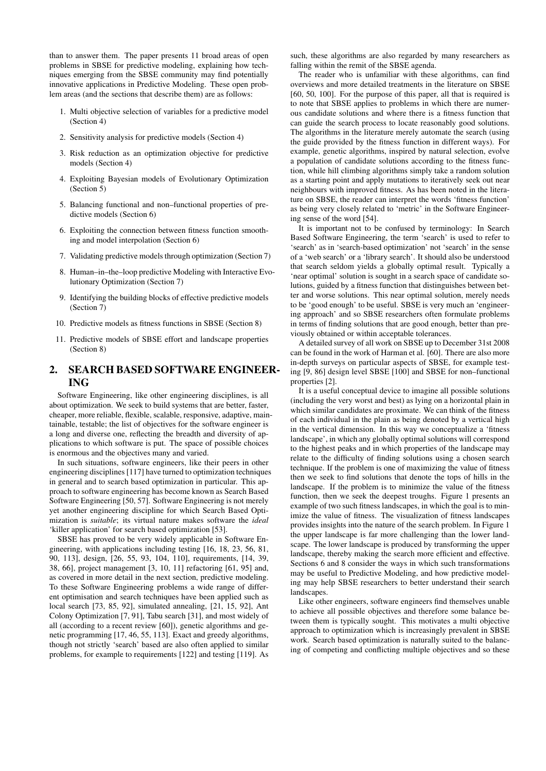than to answer them. The paper presents 11 broad areas of open problems in SBSE for predictive modeling, explaining how techniques emerging from the SBSE community may find potentially innovative applications in Predictive Modeling. These open problem areas (and the sections that describe them) are as follows:

- 1. Multi objective selection of variables for a predictive model (Section 4)
- 2. Sensitivity analysis for predictive models (Section 4)
- 3. Risk reduction as an optimization objective for predictive models (Section 4)
- 4. Exploiting Bayesian models of Evolutionary Optimization (Section 5)
- 5. Balancing functional and non–functional properties of predictive models (Section 6)
- 6. Exploiting the connection between fitness function smoothing and model interpolation (Section 6)
- 7. Validating predictive models through optimization (Section 7)
- 8. Human–in–the–loop predictive Modeling with Interactive Evolutionary Optimization (Section 7)
- 9. Identifying the building blocks of effective predictive models (Section 7)
- 10. Predictive models as fitness functions in SBSE (Section 8)
- 11. Predictive models of SBSE effort and landscape properties (Section 8)

## 2. SEARCH BASED SOFTWARE ENGINEER-ING

Software Engineering, like other engineering disciplines, is all about optimization. We seek to build systems that are better, faster, cheaper, more reliable, flexible, scalable, responsive, adaptive, maintainable, testable; the list of objectives for the software engineer is a long and diverse one, reflecting the breadth and diversity of applications to which software is put. The space of possible choices is enormous and the objectives many and varied.

In such situations, software engineers, like their peers in other engineering disciplines [117] have turned to optimization techniques in general and to search based optimization in particular. This approach to software engineering has become known as Search Based Software Engineering [50, 57]. Software Engineering is not merely yet another engineering discipline for which Search Based Optimization is *suitable*; its virtual nature makes software the *ideal* 'killer application' for search based optimization [53].

SBSE has proved to be very widely applicable in Software Engineering, with applications including testing [16, 18, 23, 56, 81, 90, 113], design, [26, 55, 93, 104, 110], requirements, [14, 39, 38, 66], project management [3, 10, 11] refactoring [61, 95] and, as covered in more detail in the next section, predictive modeling. To these Software Engineering problems a wide range of different optimisation and search techniques have been applied such as local search [73, 85, 92], simulated annealing, [21, 15, 92], Ant Colony Optimization [7, 91], Tabu search [31], and most widely of all (according to a recent review [60]), genetic algorithms and genetic programming [17, 46, 55, 113]. Exact and greedy algorithms, though not strictly 'search' based are also often applied to similar problems, for example to requirements [122] and testing [119]. As

such, these algorithms are also regarded by many researchers as falling within the remit of the SBSE agenda.

The reader who is unfamiliar with these algorithms, can find overviews and more detailed treatments in the literature on SBSE [60, 50, 100]. For the purpose of this paper, all that is required is to note that SBSE applies to problems in which there are numerous candidate solutions and where there is a fitness function that can guide the search process to locate reasonably good solutions. The algorithms in the literature merely automate the search (using the guide provided by the fitness function in different ways). For example, genetic algorithms, inspired by natural selection, evolve a population of candidate solutions according to the fitness function, while hill climbing algorithms simply take a random solution as a starting point and apply mutations to iteratively seek out near neighbours with improved fitness. As has been noted in the literature on SBSE, the reader can interpret the words 'fitness function' as being very closely related to 'metric' in the Software Engineering sense of the word [54].

It is important not to be confused by terminology: In Search Based Software Engineering, the term 'search' is used to refer to 'search' as in 'search-based optimization' not 'search' in the sense of a 'web search' or a 'library search'. It should also be understood that search seldom yields a globally optimal result. Typically a 'near optimal' solution is sought in a search space of candidate solutions, guided by a fitness function that distinguishes between better and worse solutions. This near optimal solution, merely needs to be 'good enough' to be useful. SBSE is very much an 'engineering approach' and so SBSE researchers often formulate problems in terms of finding solutions that are good enough, better than previously obtained or within acceptable tolerances.

A detailed survey of all work on SBSE up to December 31st 2008 can be found in the work of Harman et al. [60]. There are also more in-depth surveys on particular aspects of SBSE, for example testing [9, 86] design level SBSE [100] and SBSE for non–functional properties [2].

It is a useful conceptual device to imagine all possible solutions (including the very worst and best) as lying on a horizontal plain in which similar candidates are proximate. We can think of the fitness of each individual in the plain as being denoted by a vertical high in the vertical dimension. In this way we conceptualize a 'fitness landscape', in which any globally optimal solutions will correspond to the highest peaks and in which properties of the landscape may relate to the difficulty of finding solutions using a chosen search technique. If the problem is one of maximizing the value of fitness then we seek to find solutions that denote the tops of hills in the landscape. If the problem is to minimize the value of the fitness function, then we seek the deepest troughs. Figure 1 presents an example of two such fitness landscapes, in which the goal is to minimize the value of fitness. The visualization of fitness landscapes provides insights into the nature of the search problem. In Figure 1 the upper landscape is far more challenging than the lower landscape. The lower landscape is produced by transforming the upper landscape, thereby making the search more efficient and effective. Sections 6 and 8 consider the ways in which such transformations may be useful to Predictive Modeling, and how predictive modeling may help SBSE researchers to better understand their search landscapes.

Like other engineers, software engineers find themselves unable to achieve all possible objectives and therefore some balance between them is typically sought. This motivates a multi objective approach to optimization which is increasingly prevalent in SBSE work. Search based optimization is naturally suited to the balancing of competing and conflicting multiple objectives and so these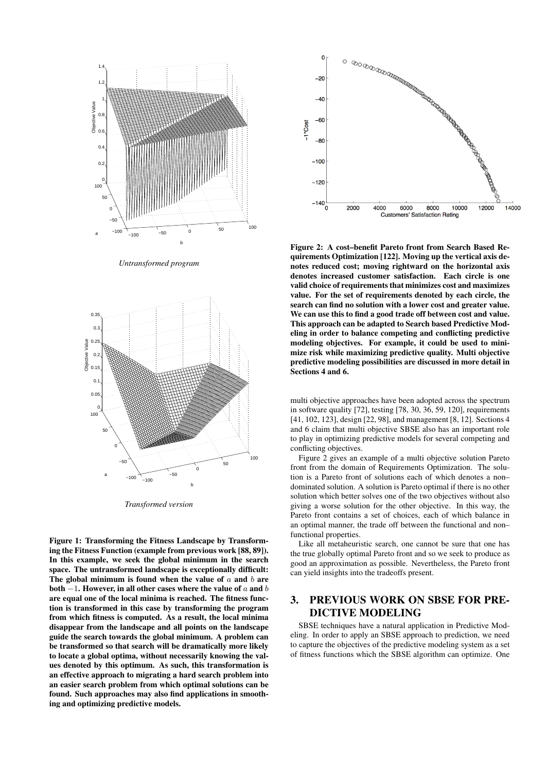

*Untransformed program*



*Transformed version*

Figure 1: Transforming the Fitness Landscape by Transforming the Fitness Function (example from previous work [88, 89]). In this example, we seek the global minimum in the search space. The untransformed landscape is exceptionally difficult: The global minimum is found when the value of  $a$  and  $b$  are both  $-1$ . However, in all other cases where the value of a and b are equal one of the local minima is reached. The fitness function is transformed in this case by transforming the program from which fitness is computed. As a result, the local minima disappear from the landscape and all points on the landscape guide the search towards the global minimum. A problem can be transformed so that search will be dramatically more likely to locate a global optima, without necessarily knowing the values denoted by this optimum. As such, this transformation is an effective approach to migrating a hard search problem into an easier search problem from which optimal solutions can be found. Such approaches may also find applications in smoothing and optimizing predictive models.



Figure 2: A cost–benefit Pareto front from Search Based Requirements Optimization [122]. Moving up the vertical axis denotes reduced cost; moving rightward on the horizontal axis denotes increased customer satisfaction. Each circle is one valid choice of requirements that minimizes cost and maximizes value. For the set of requirements denoted by each circle, the search can find no solution with a lower cost and greater value. We can use this to find a good trade off between cost and value. This approach can be adapted to Search based Predictive Modeling in order to balance competing and conflicting predictive modeling objectives. For example, it could be used to minimize risk while maximizing predictive quality. Multi objective predictive modeling possibilities are discussed in more detail in Sections 4 and 6.

multi objective approaches have been adopted across the spectrum in software quality [72], testing [78, 30, 36, 59, 120], requirements [41, 102, 123], design [22, 98], and management [8, 12]. Sections 4 and 6 claim that multi objective SBSE also has an important role to play in optimizing predictive models for several competing and conflicting objectives.

Figure 2 gives an example of a multi objective solution Pareto front from the domain of Requirements Optimization. The solution is a Pareto front of solutions each of which denotes a non– dominated solution. A solution is Pareto optimal if there is no other solution which better solves one of the two objectives without also giving a worse solution for the other objective. In this way, the Pareto front contains a set of choices, each of which balance in an optimal manner, the trade off between the functional and non– functional properties.

Like all metaheuristic search, one cannot be sure that one has the true globally optimal Pareto front and so we seek to produce as good an approximation as possible. Nevertheless, the Pareto front can yield insights into the tradeoffs present.

# 3. PREVIOUS WORK ON SBSE FOR PRE-DICTIVE MODELING

SBSE techniques have a natural application in Predictive Modeling. In order to apply an SBSE approach to prediction, we need to capture the objectives of the predictive modeling system as a set of fitness functions which the SBSE algorithm can optimize. One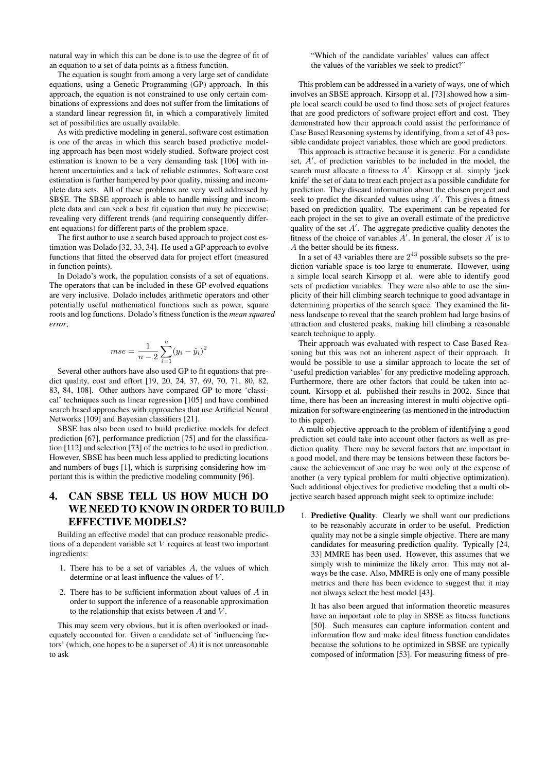natural way in which this can be done is to use the degree of fit of an equation to a set of data points as a fitness function.

The equation is sought from among a very large set of candidate equations, using a Genetic Programming (GP) approach. In this approach, the equation is not constrained to use only certain combinations of expressions and does not suffer from the limitations of a standard linear regression fit, in which a comparatively limited set of possibilities are usually available.

As with predictive modeling in general, software cost estimation is one of the areas in which this search based predictive modeling approach has been most widely studied. Software project cost estimation is known to be a very demanding task [106] with inherent uncertainties and a lack of reliable estimates. Software cost estimation is further hampered by poor quality, missing and incomplete data sets. All of these problems are very well addressed by SBSE. The SBSE approach is able to handle missing and incomplete data and can seek a best fit equation that may be piecewise; revealing very different trends (and requiring consequently different equations) for different parts of the problem space.

The first author to use a search based approach to project cost estimation was Dolado [32, 33, 34]. He used a GP approach to evolve functions that fitted the observed data for project effort (measured in function points).

In Dolado's work, the population consists of a set of equations. The operators that can be included in these GP-evolved equations are very inclusive. Dolado includes arithmetic operators and other potentially useful mathematical functions such as power, square roots and log functions. Dolado's fitness function is the *mean squared error*,

$$
mse = \frac{1}{n-2} \sum_{i=1}^{n} (y_i - \hat{y}_i)^2
$$

Several other authors have also used GP to fit equations that predict quality, cost and effort [19, 20, 24, 37, 69, 70, 71, 80, 82, 83, 84, 108]. Other authors have compared GP to more 'classical' techniques such as linear regression [105] and have combined search based approaches with approaches that use Artificial Neural Networks [109] and Bayesian classifiers [21].

SBSE has also been used to build predictive models for defect prediction [67], performance prediction [75] and for the classification [112] and selection [73] of the metrics to be used in prediction. However, SBSE has been much less applied to predicting locations and numbers of bugs [1], which is surprising considering how important this is within the predictive modeling community [96].

# 4. CAN SBSE TELL US HOW MUCH DO WE NEED TO KNOW IN ORDER TO BUILD EFFECTIVE MODELS?

Building an effective model that can produce reasonable predictions of a dependent variable set V requires at least two important ingredients:

- 1. There has to be a set of variables A, the values of which determine or at least influence the values of V .
- 2. There has to be sufficient information about values of A in order to support the inference of a reasonable approximation to the relationship that exists between  $A$  and  $V$ .

This may seem very obvious, but it is often overlooked or inadequately accounted for. Given a candidate set of 'influencing factors' (which, one hopes to be a superset of  $A$ ) it is not unreasonable to ask

"Which of the candidate variables' values can affect the values of the variables we seek to predict?"

This problem can be addressed in a variety of ways, one of which involves an SBSE approach. Kirsopp et al. [73] showed how a simple local search could be used to find those sets of project features that are good predictors of software project effort and cost. They demonstrated how their approach could assist the performance of Case Based Reasoning systems by identifying, from a set of 43 possible candidate project variables, those which are good predictors.

This approach is attractive because it is generic. For a candidate set,  $A'$ , of prediction variables to be included in the model, the search must allocate a fitness to  $A'$ . Kirsopp et al. simply 'jack knife' the set of data to treat each project as a possible candidate for prediction. They discard information about the chosen project and seek to predict the discarded values using  $A'$ . This gives a fitness based on prediction quality. The experiment can be repeated for each project in the set to give an overall estimate of the predictive quality of the set  $A'$ . The aggregate predictive quality denotes the fitness of the choice of variables  $A'$ . In general, the closer  $A'$  is to A the better should be its fitness.

In a set of 43 variables there are  $2^{43}$  possible subsets so the prediction variable space is too large to enumerate. However, using a simple local search Kirsopp et al. were able to identify good sets of prediction variables. They were also able to use the simplicity of their hill climbing search technique to good advantage in determining properties of the search space. They examined the fitness landscape to reveal that the search problem had large basins of attraction and clustered peaks, making hill climbing a reasonable search technique to apply.

Their approach was evaluated with respect to Case Based Reasoning but this was not an inherent aspect of their approach. It would be possible to use a similar approach to locate the set of 'useful prediction variables' for any predictive modeling approach. Furthermore, there are other factors that could be taken into account. Kirsopp et al. published their results in 2002. Since that time, there has been an increasing interest in multi objective optimization for software engineering (as mentioned in the introduction to this paper).

A multi objective approach to the problem of identifying a good prediction set could take into account other factors as well as prediction quality. There may be several factors that are important in a good model, and there may be tensions between these factors because the achievement of one may be won only at the expense of another (a very typical problem for multi objective optimization). Such additional objectives for predictive modeling that a multi objective search based approach might seek to optimize include:

1. Predictive Quality. Clearly we shall want our predictions to be reasonably accurate in order to be useful. Prediction quality may not be a single simple objective. There are many candidates for measuring prediction quality. Typically [24, 33] MMRE has been used. However, this assumes that we simply wish to minimize the likely error. This may not always be the case. Also, MMRE is only one of many possible metrics and there has been evidence to suggest that it may not always select the best model [43].

It has also been argued that information theoretic measures have an important role to play in SBSE as fitness functions [50]. Such measures can capture information content and information flow and make ideal fitness function candidates because the solutions to be optimized in SBSE are typically composed of information [53]. For measuring fitness of pre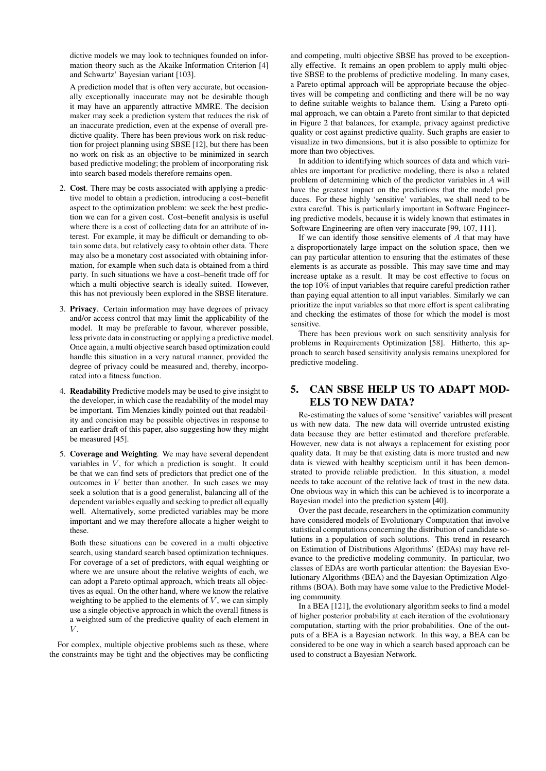dictive models we may look to techniques founded on information theory such as the Akaike Information Criterion [4] and Schwartz' Bayesian variant [103].

A prediction model that is often very accurate, but occasionally exceptionally inaccurate may not be desirable though it may have an apparently attractive MMRE. The decision maker may seek a prediction system that reduces the risk of an inaccurate prediction, even at the expense of overall predictive quality. There has been previous work on risk reduction for project planning using SBSE [12], but there has been no work on risk as an objective to be minimized in search based predictive modeling; the problem of incorporating risk into search based models therefore remains open.

- 2. Cost. There may be costs associated with applying a predictive model to obtain a prediction, introducing a cost–benefit aspect to the optimization problem: we seek the best prediction we can for a given cost. Cost–benefit analysis is useful where there is a cost of collecting data for an attribute of interest. For example, it may be difficult or demanding to obtain some data, but relatively easy to obtain other data. There may also be a monetary cost associated with obtaining information, for example when such data is obtained from a third party. In such situations we have a cost–benefit trade off for which a multi objective search is ideally suited. However, this has not previously been explored in the SBSE literature.
- 3. Privacy. Certain information may have degrees of privacy and/or access control that may limit the applicability of the model. It may be preferable to favour, wherever possible, less private data in constructing or applying a predictive model. Once again, a multi objective search based optimization could handle this situation in a very natural manner, provided the degree of privacy could be measured and, thereby, incorporated into a fitness function.
- 4. Readability Predictive models may be used to give insight to the developer, in which case the readability of the model may be important. Tim Menzies kindly pointed out that readability and concision may be possible objectives in response to an earlier draft of this paper, also suggesting how they might be measured [45].
- 5. Coverage and Weighting. We may have several dependent variables in  $V$ , for which a prediction is sought. It could be that we can find sets of predictors that predict one of the outcomes in  $V$  better than another. In such cases we may seek a solution that is a good generalist, balancing all of the dependent variables equally and seeking to predict all equally well. Alternatively, some predicted variables may be more important and we may therefore allocate a higher weight to these.

Both these situations can be covered in a multi objective search, using standard search based optimization techniques. For coverage of a set of predictors, with equal weighting or where we are unsure about the relative weights of each, we can adopt a Pareto optimal approach, which treats all objectives as equal. On the other hand, where we know the relative weighting to be applied to the elements of  $V$ , we can simply use a single objective approach in which the overall fitness is a weighted sum of the predictive quality of each element in  $V$ .

For complex, multiple objective problems such as these, where the constraints may be tight and the objectives may be conflicting

and competing, multi objective SBSE has proved to be exceptionally effective. It remains an open problem to apply multi objective SBSE to the problems of predictive modeling. In many cases, a Pareto optimal approach will be appropriate because the objectives will be competing and conflicting and there will be no way to define suitable weights to balance them. Using a Pareto optimal approach, we can obtain a Pareto front similar to that depicted in Figure 2 that balances, for example, privacy against predictive quality or cost against predictive quality. Such graphs are easier to visualize in two dimensions, but it is also possible to optimize for more than two objectives.

In addition to identifying which sources of data and which variables are important for predictive modeling, there is also a related problem of determining which of the predictor variables in A will have the greatest impact on the predictions that the model produces. For these highly 'sensitive' variables, we shall need to be extra careful. This is particularly important in Software Engineering predictive models, because it is widely known that estimates in Software Engineering are often very inaccurate [99, 107, 111].

If we can identify those sensitive elements of  $A$  that may have a disproportionately large impact on the solution space, then we can pay particular attention to ensuring that the estimates of these elements is as accurate as possible. This may save time and may increase uptake as a result. It may be cost effective to focus on the top 10% of input variables that require careful prediction rather than paying equal attention to all input variables. Similarly we can prioritize the input variables so that more effort is spent calibrating and checking the estimates of those for which the model is most sensitive.

There has been previous work on such sensitivity analysis for problems in Requirements Optimization [58]. Hitherto, this approach to search based sensitivity analysis remains unexplored for predictive modeling.

# 5. CAN SBSE HELP US TO ADAPT MOD-ELS TO NEW DATA?

Re-estimating the values of some 'sensitive' variables will present us with new data. The new data will override untrusted existing data because they are better estimated and therefore preferable. However, new data is not always a replacement for existing poor quality data. It may be that existing data is more trusted and new data is viewed with healthy scepticism until it has been demonstrated to provide reliable prediction. In this situation, a model needs to take account of the relative lack of trust in the new data. One obvious way in which this can be achieved is to incorporate a Bayesian model into the prediction system [40].

Over the past decade, researchers in the optimization community have considered models of Evolutionary Computation that involve statistical computations concerning the distribution of candidate solutions in a population of such solutions. This trend in research on Estimation of Distributions Algorithms' (EDAs) may have relevance to the predictive modeling community. In particular, two classes of EDAs are worth particular attention: the Bayesian Evolutionary Algorithms (BEA) and the Bayesian Optimization Algorithms (BOA). Both may have some value to the Predictive Modeling community.

In a BEA [121], the evolutionary algorithm seeks to find a model of higher posterior probability at each iteration of the evolutionary computation, starting with the prior probabilities. One of the outputs of a BEA is a Bayesian network. In this way, a BEA can be considered to be one way in which a search based approach can be used to construct a Bayesian Network.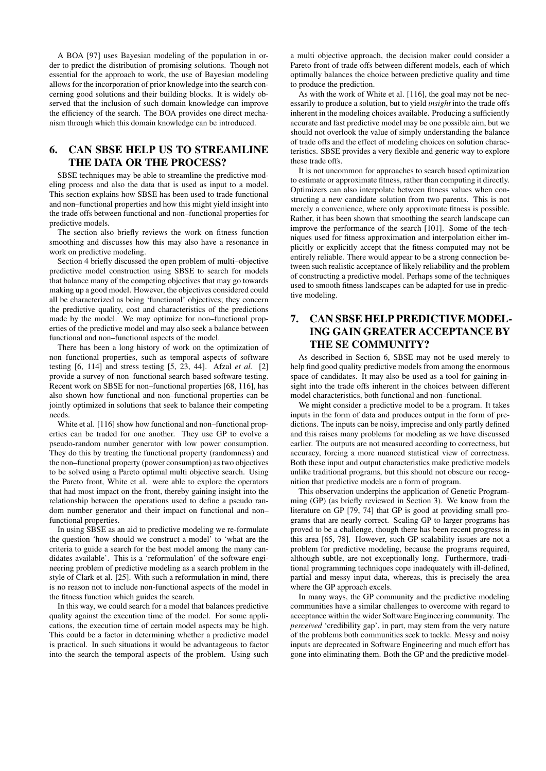A BOA [97] uses Bayesian modeling of the population in order to predict the distribution of promising solutions. Though not essential for the approach to work, the use of Bayesian modeling allows for the incorporation of prior knowledge into the search concerning good solutions and their building blocks. It is widely observed that the inclusion of such domain knowledge can improve the efficiency of the search. The BOA provides one direct mechanism through which this domain knowledge can be introduced.

#### 6. CAN SBSE HELP US TO STREAMLINE THE DATA OR THE PROCESS?

SBSE techniques may be able to streamline the predictive modeling process and also the data that is used as input to a model. This section explains how SBSE has been used to trade functional and non–functional properties and how this might yield insight into the trade offs between functional and non–functional properties for predictive models.

The section also briefly reviews the work on fitness function smoothing and discusses how this may also have a resonance in work on predictive modeling.

Section 4 briefly discussed the open problem of multi–objective predictive model construction using SBSE to search for models that balance many of the competing objectives that may go towards making up a good model. However, the objectives considered could all be characterized as being 'functional' objectives; they concern the predictive quality, cost and characteristics of the predictions made by the model. We may optimize for non–functional properties of the predictive model and may also seek a balance between functional and non–functional aspects of the model.

There has been a long history of work on the optimization of non–functional properties, such as temporal aspects of software testing [6, 114] and stress testing [5, 23, 44]. Afzal *et al.* [2] provide a survey of non–functional search based software testing. Recent work on SBSE for non–functional properties [68, 116], has also shown how functional and non–functional properties can be jointly optimized in solutions that seek to balance their competing needs.

White et al. [116] show how functional and non–functional properties can be traded for one another. They use GP to evolve a pseudo-random number generator with low power consumption. They do this by treating the functional property (randomness) and the non–functional property (power consumption) as two objectives to be solved using a Pareto optimal multi objective search. Using the Pareto front, White et al. were able to explore the operators that had most impact on the front, thereby gaining insight into the relationship between the operations used to define a pseudo random number generator and their impact on functional and non– functional properties.

In using SBSE as an aid to predictive modeling we re-formulate the question 'how should we construct a model' to 'what are the criteria to guide a search for the best model among the many candidates available'. This is a 'reformulation' of the software engineering problem of predictive modeling as a search problem in the style of Clark et al. [25]. With such a reformulation in mind, there is no reason not to include non-functional aspects of the model in the fitness function which guides the search.

In this way, we could search for a model that balances predictive quality against the execution time of the model. For some applications, the execution time of certain model aspects may be high. This could be a factor in determining whether a predictive model is practical. In such situations it would be advantageous to factor into the search the temporal aspects of the problem. Using such a multi objective approach, the decision maker could consider a Pareto front of trade offs between different models, each of which optimally balances the choice between predictive quality and time to produce the prediction.

As with the work of White et al. [116], the goal may not be necessarily to produce a solution, but to yield *insight* into the trade offs inherent in the modeling choices available. Producing a sufficiently accurate and fast predictive model may be one possible aim, but we should not overlook the value of simply understanding the balance of trade offs and the effect of modeling choices on solution characteristics. SBSE provides a very flexible and generic way to explore these trade offs.

It is not uncommon for approaches to search based optimization to estimate or approximate fitness, rather than computing it directly. Optimizers can also interpolate between fitness values when constructing a new candidate solution from two parents. This is not merely a convenience, where only approximate fitness is possible. Rather, it has been shown that smoothing the search landscape can improve the performance of the search [101]. Some of the techniques used for fitness approximation and interpolation either implicitly or explicitly accept that the fitness computed may not be entirely reliable. There would appear to be a strong connection between such realistic acceptance of likely reliability and the problem of constructing a predictive model. Perhaps some of the techniques used to smooth fitness landscapes can be adapted for use in predictive modeling.

## 7. CAN SBSE HELP PREDICTIVE MODEL-ING GAIN GREATER ACCEPTANCE BY THE SE COMMUNITY?

As described in Section 6, SBSE may not be used merely to help find good quality predictive models from among the enormous space of candidates. It may also be used as a tool for gaining insight into the trade offs inherent in the choices between different model characteristics, both functional and non–functional.

We might consider a predictive model to be a program. It takes inputs in the form of data and produces output in the form of predictions. The inputs can be noisy, imprecise and only partly defined and this raises many problems for modeling as we have discussed earlier. The outputs are not measured according to correctness, but accuracy, forcing a more nuanced statistical view of correctness. Both these input and output characteristics make predictive models unlike traditional programs, but this should not obscure our recognition that predictive models are a form of program.

This observation underpins the application of Genetic Programming (GP) (as briefly reviewed in Section 3). We know from the literature on GP [79, 74] that GP is good at providing small programs that are nearly correct. Scaling GP to larger programs has proved to be a challenge, though there has been recent progress in this area [65, 78]. However, such GP scalability issues are not a problem for predictive modeling, because the programs required, although subtle, are not exceptionally long. Furthermore, traditional programming techniques cope inadequately with ill-defined, partial and messy input data, whereas, this is precisely the area where the GP approach excels.

In many ways, the GP community and the predictive modeling communities have a similar challenges to overcome with regard to acceptance within the wider Software Engineering community. The *perceived* 'credibility gap', in part, may stem from the very nature of the problems both communities seek to tackle. Messy and noisy inputs are deprecated in Software Engineering and much effort has gone into eliminating them. Both the GP and the predictive model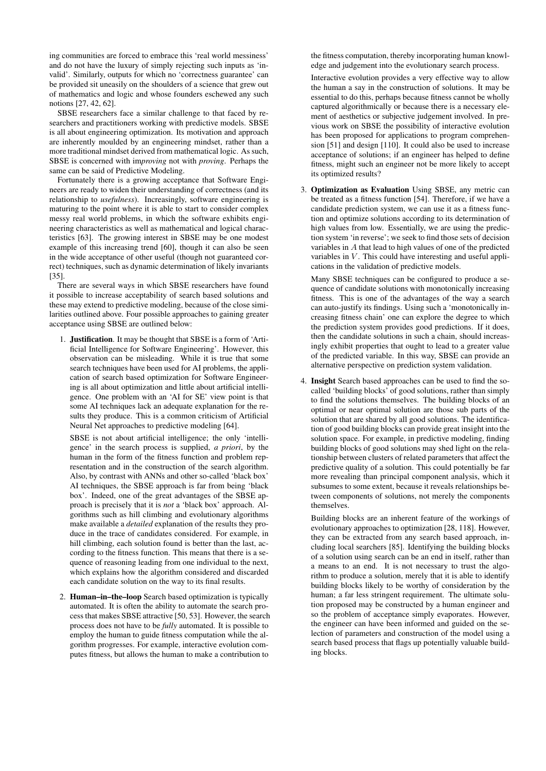ing communities are forced to embrace this 'real world messiness' and do not have the luxury of simply rejecting such inputs as 'invalid'. Similarly, outputs for which no 'correctness guarantee' can be provided sit uneasily on the shoulders of a science that grew out of mathematics and logic and whose founders eschewed any such notions [27, 42, 62].

SBSE researchers face a similar challenge to that faced by researchers and practitioners working with predictive models. SBSE is all about engineering optimization. Its motivation and approach are inherently moulded by an engineering mindset, rather than a more traditional mindset derived from mathematical logic. As such, SBSE is concerned with im*proving* not with *proving*. Perhaps the same can be said of Predictive Modeling.

Fortunately there is a growing acceptance that Software Engineers are ready to widen their understanding of correctness (and its relationship to *usefulness*). Increasingly, software engineering is maturing to the point where it is able to start to consider complex messy real world problems, in which the software exhibits engineering characteristics as well as mathematical and logical characteristics [63]. The growing interest in SBSE may be one modest example of this increasing trend [60], though it can also be seen in the wide acceptance of other useful (though not guaranteed correct) techniques, such as dynamic determination of likely invariants [35].

There are several ways in which SBSE researchers have found it possible to increase acceptability of search based solutions and these may extend to predictive modeling, because of the close similarities outlined above. Four possible approaches to gaining greater acceptance using SBSE are outlined below:

1. Justification. It may be thought that SBSE is a form of 'Artificial Intelligence for Software Engineering'. However, this observation can be misleading. While it is true that some search techniques have been used for AI problems, the application of search based optimization for Software Engineering is all about optimization and little about artificial intelligence. One problem with an 'AI for SE' view point is that some AI techniques lack an adequate explanation for the results they produce. This is a common criticism of Artificial Neural Net approaches to predictive modeling [64].

SBSE is not about artificial intelligence; the only 'intelligence' in the search process is supplied, *a priori*, by the human in the form of the fitness function and problem representation and in the construction of the search algorithm. Also, by contrast with ANNs and other so-called 'black box' AI techniques, the SBSE approach is far from being 'black box'. Indeed, one of the great advantages of the SBSE approach is precisely that it is *not* a 'black box' approach. Algorithms such as hill climbing and evolutionary algorithms make available a *detailed* explanation of the results they produce in the trace of candidates considered. For example, in hill climbing, each solution found is better than the last, according to the fitness function. This means that there is a sequence of reasoning leading from one individual to the next, which explains how the algorithm considered and discarded each candidate solution on the way to its final results.

2. Human–in–the–loop Search based optimization is typically automated. It is often the ability to automate the search process that makes SBSE attractive [50, 53]. However, the search process does not have to be *fully* automated. It is possible to employ the human to guide fitness computation while the algorithm progresses. For example, interactive evolution computes fitness, but allows the human to make a contribution to

the fitness computation, thereby incorporating human knowledge and judgement into the evolutionary search process.

Interactive evolution provides a very effective way to allow the human a say in the construction of solutions. It may be essential to do this, perhaps because fitness cannot be wholly captured algorithmically or because there is a necessary element of aesthetics or subjective judgement involved. In previous work on SBSE the possibility of interactive evolution has been proposed for applications to program comprehension [51] and design [110]. It could also be used to increase acceptance of solutions; if an engineer has helped to define fitness, might such an engineer not be more likely to accept its optimized results?

3. Optimization as Evaluation Using SBSE, any metric can be treated as a fitness function [54]. Therefore, if we have a candidate prediction system, we can use it as a fitness function and optimize solutions according to its determination of high values from low. Essentially, we are using the prediction system 'in reverse'; we seek to find those sets of decision variables in A that lead to high values of one of the predicted variables in  $V$ . This could have interesting and useful applications in the validation of predictive models.

Many SBSE techniques can be configured to produce a sequence of candidate solutions with monotonically increasing fitness. This is one of the advantages of the way a search can auto-justify its findings. Using such a 'monotonically increasing fitness chain' one can explore the degree to which the prediction system provides good predictions. If it does, then the candidate solutions in such a chain, should increasingly exhibit properties that ought to lead to a greater value of the predicted variable. In this way, SBSE can provide an alternative perspective on prediction system validation.

4. Insight Search based approaches can be used to find the socalled 'building blocks' of good solutions, rather than simply to find the solutions themselves. The building blocks of an optimal or near optimal solution are those sub parts of the solution that are shared by all good solutions. The identification of good building blocks can provide great insight into the solution space. For example, in predictive modeling, finding building blocks of good solutions may shed light on the relationship between clusters of related parameters that affect the predictive quality of a solution. This could potentially be far more revealing than principal component analysis, which it subsumes to some extent, because it reveals relationships between components of solutions, not merely the components themselves.

Building blocks are an inherent feature of the workings of evolutionary approaches to optimization [28, 118]. However, they can be extracted from any search based approach, including local searchers [85]. Identifying the building blocks of a solution using search can be an end in itself, rather than a means to an end. It is not necessary to trust the algorithm to produce a solution, merely that it is able to identify building blocks likely to be worthy of consideration by the human; a far less stringent requirement. The ultimate solution proposed may be constructed by a human engineer and so the problem of acceptance simply evaporates. However, the engineer can have been informed and guided on the selection of parameters and construction of the model using a search based process that flags up potentially valuable building blocks.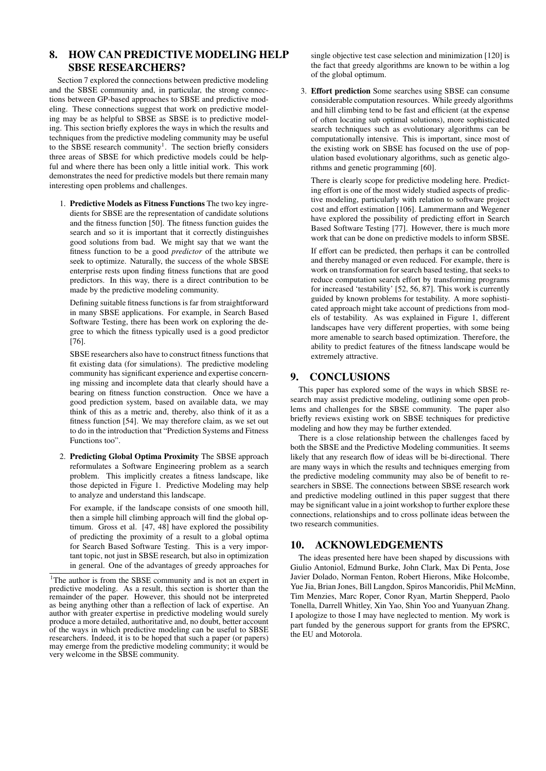# 8. HOW CAN PREDICTIVE MODELING HELP SBSE RESEARCHERS?

Section 7 explored the connections between predictive modeling and the SBSE community and, in particular, the strong connections between GP-based approaches to SBSE and predictive modeling. These connections suggest that work on predictive modeling may be as helpful to SBSE as SBSE is to predictive modeling. This section briefly explores the ways in which the results and techniques from the predictive modeling community may be useful to the SBSE research community<sup>1</sup>. The section briefly considers three areas of SBSE for which predictive models could be helpful and where there has been only a little initial work. This work demonstrates the need for predictive models but there remain many interesting open problems and challenges.

1. Predictive Models as Fitness Functions The two key ingredients for SBSE are the representation of candidate solutions and the fitness function [50]. The fitness function guides the search and so it is important that it correctly distinguishes good solutions from bad. We might say that we want the fitness function to be a good *predictor* of the attribute we seek to optimize. Naturally, the success of the whole SBSE enterprise rests upon finding fitness functions that are good predictors. In this way, there is a direct contribution to be made by the predictive modeling community.

Defining suitable fitness functions is far from straightforward in many SBSE applications. For example, in Search Based Software Testing, there has been work on exploring the degree to which the fitness typically used is a good predictor [76].

SBSE researchers also have to construct fitness functions that fit existing data (for simulations). The predictive modeling community has significant experience and expertise concerning missing and incomplete data that clearly should have a bearing on fitness function construction. Once we have a good prediction system, based on available data, we may think of this as a metric and, thereby, also think of it as a fitness function [54]. We may therefore claim, as we set out to do in the introduction that "Prediction Systems and Fitness Functions too".

2. Predicting Global Optima Proximity The SBSE approach reformulates a Software Engineering problem as a search problem. This implicitly creates a fitness landscape, like those depicted in Figure 1. Predictive Modeling may help to analyze and understand this landscape.

For example, if the landscape consists of one smooth hill, then a simple hill climbing approach will find the global optimum. Gross et al. [47, 48] have explored the possibility of predicting the proximity of a result to a global optima for Search Based Software Testing. This is a very important topic, not just in SBSE research, but also in optimization in general. One of the advantages of greedy approaches for

single objective test case selection and minimization [120] is the fact that greedy algorithms are known to be within a log of the global optimum.

3. Effort prediction Some searches using SBSE can consume considerable computation resources. While greedy algorithms and hill climbing tend to be fast and efficient (at the expense of often locating sub optimal solutions), more sophisticated search techniques such as evolutionary algorithms can be computationally intensive. This is important, since most of the existing work on SBSE has focused on the use of population based evolutionary algorithms, such as genetic algorithms and genetic programming [60].

There is clearly scope for predictive modeling here. Predicting effort is one of the most widely studied aspects of predictive modeling, particularly with relation to software project cost and effort estimation [106]. Lammermann and Wegener have explored the possibility of predicting effort in Search Based Software Testing [77]. However, there is much more work that can be done on predictive models to inform SBSE.

If effort can be predicted, then perhaps it can be controlled and thereby managed or even reduced. For example, there is work on transformation for search based testing, that seeks to reduce computation search effort by transforming programs for increased 'testability' [52, 56, 87]. This work is currently guided by known problems for testability. A more sophisticated approach might take account of predictions from models of testability. As was explained in Figure 1, different landscapes have very different properties, with some being more amenable to search based optimization. Therefore, the ability to predict features of the fitness landscape would be extremely attractive.

## 9. CONCLUSIONS

This paper has explored some of the ways in which SBSE research may assist predictive modeling, outlining some open problems and challenges for the SBSE community. The paper also briefly reviews existing work on SBSE techniques for predictive modeling and how they may be further extended.

There is a close relationship between the challenges faced by both the SBSE and the Predictive Modeling communities. It seems likely that any research flow of ideas will be bi-directional. There are many ways in which the results and techniques emerging from the predictive modeling community may also be of benefit to researchers in SBSE. The connections between SBSE research work and predictive modeling outlined in this paper suggest that there may be significant value in a joint workshop to further explore these connections, relationships and to cross pollinate ideas between the two research communities.

# 10. ACKNOWLEDGEMENTS

The ideas presented here have been shaped by discussions with Giulio Antoniol, Edmund Burke, John Clark, Max Di Penta, Jose Javier Dolado, Norman Fenton, Robert Hierons, Mike Holcombe, Yue Jia, Brian Jones, Bill Langdon, Spiros Mancoridis, Phil McMinn, Tim Menzies, Marc Roper, Conor Ryan, Martin Shepperd, Paolo Tonella, Darrell Whitley, Xin Yao, Shin Yoo and Yuanyuan Zhang. I apologize to those I may have neglected to mention. My work is part funded by the generous support for grants from the EPSRC, the EU and Motorola.

<sup>&</sup>lt;sup>1</sup>The author is from the SBSE community and is not an expert in predictive modeling. As a result, this section is shorter than the remainder of the paper. However, this should not be interpreted as being anything other than a reflection of lack of expertise. An author with greater expertise in predictive modeling would surely produce a more detailed, authoritative and, no doubt, better account of the ways in which predictive modeling can be useful to SBSE researchers. Indeed, it is to be hoped that such a paper (or papers) may emerge from the predictive modeling community; it would be very welcome in the SBSE community.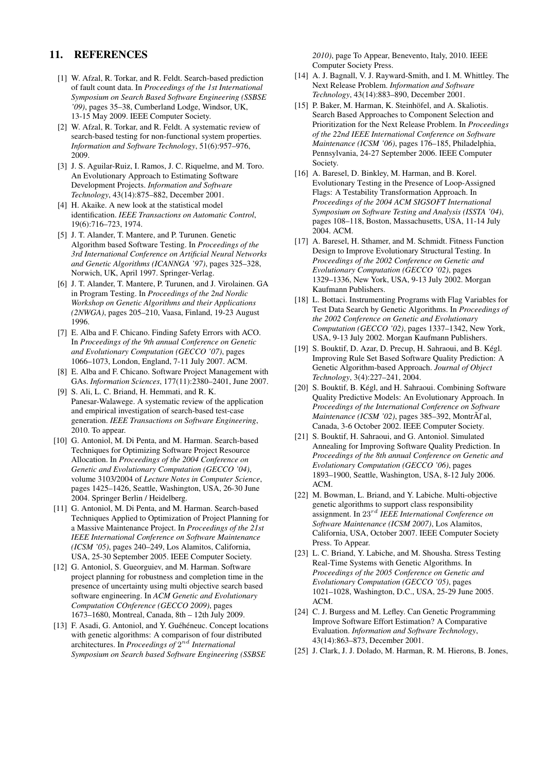#### 11. REFERENCES

- [1] W. Afzal, R. Torkar, and R. Feldt. Search-based prediction of fault count data. In *Proceedings of the 1st International Symposium on Search Based Software Engineering (SSBSE '09)*, pages 35–38, Cumberland Lodge, Windsor, UK, 13-15 May 2009. IEEE Computer Society.
- [2] W. Afzal, R. Torkar, and R. Feldt. A systematic review of search-based testing for non-functional system properties. *Information and Software Technology*, 51(6):957–976, 2009.
- [3] J. S. Aguilar-Ruiz, I. Ramos, J. C. Riquelme, and M. Toro. An Evolutionary Approach to Estimating Software Development Projects. *Information and Software Technology*, 43(14):875–882, December 2001.
- [4] H. Akaike. A new look at the statistical model identification. *IEEE Transactions on Automatic Control*, 19(6):716–723, 1974.
- [5] J. T. Alander, T. Mantere, and P. Turunen. Genetic Algorithm based Software Testing. In *Proceedings of the 3rd International Conference on Artificial Neural Networks and Genetic Algorithms (ICANNGA '97)*, pages 325–328, Norwich, UK, April 1997. Springer-Verlag.
- [6] J. T. Alander, T. Mantere, P. Turunen, and J. Virolainen. GA in Program Testing. In *Proceedings of the 2nd Nordic Workshop on Genetic Algorithms and their Applications (2NWGA)*, pages 205–210, Vaasa, Finland, 19-23 August 1996.
- [7] E. Alba and F. Chicano. Finding Safety Errors with ACO. In *Proceedings of the 9th annual Conference on Genetic and Evolutionary Computation (GECCO '07)*, pages 1066–1073, London, England, 7-11 July 2007. ACM.
- [8] E. Alba and F. Chicano. Software Project Management with GAs. *Information Sciences*, 177(11):2380–2401, June 2007.
- [9] S. Ali, L. C. Briand, H. Hemmati, and R. K. Panesar-Walawege. A systematic review of the application and empirical investigation of search-based test-case generation. *IEEE Transactions on Software Engineering*, 2010. To appear.
- [10] G. Antoniol, M. Di Penta, and M. Harman. Search-based Techniques for Optimizing Software Project Resource Allocation. In *Proceedings of the 2004 Conference on Genetic and Evolutionary Computation (GECCO '04)*, volume 3103/2004 of *Lecture Notes in Computer Science*, pages 1425–1426, Seattle, Washington, USA, 26-30 June 2004. Springer Berlin / Heidelberg.
- [11] G. Antoniol, M. Di Penta, and M. Harman. Search-based Techniques Applied to Optimization of Project Planning for a Massive Maintenance Project. In *Proceedings of the 21st IEEE International Conference on Software Maintenance (ICSM '05)*, pages 240–249, Los Alamitos, California, USA, 25-30 September 2005. IEEE Computer Society.
- [12] G. Antoniol, S. Gueorguiev, and M. Harman. Software project planning for robustness and completion time in the presence of uncertainty using multi objective search based software engineering. In *ACM Genetic and Evolutionary Computation COnference (GECCO 2009)*, pages 1673–1680, Montreal, Canada, 8th – 12th July 2009.
- [13] F. Asadi, G. Antoniol, and Y. Guéhéneuc. Concept locations with genetic algorithms: A comparison of four distributed architectures. In *Proceedings of*  $2^{nd}$  *International Symposium on Search based Software Engineering (SSBSE*

*2010)*, page To Appear, Benevento, Italy, 2010. IEEE Computer Society Press.

- [14] A. J. Bagnall, V. J. Rayward-Smith, and I. M. Whittley. The Next Release Problem. *Information and Software Technology*, 43(14):883–890, December 2001.
- [15] P. Baker, M. Harman, K. Steinhöfel, and A. Skaliotis. Search Based Approaches to Component Selection and Prioritization for the Next Release Problem. In *Proceedings of the 22nd IEEE International Conference on Software Maintenance (ICSM '06)*, pages 176–185, Philadelphia, Pennsylvania, 24-27 September 2006. IEEE Computer Society.
- [16] A. Baresel, D. Binkley, M. Harman, and B. Korel. Evolutionary Testing in the Presence of Loop-Assigned Flags: A Testability Transformation Approach. In *Proceedings of the 2004 ACM SIGSOFT International Symposium on Software Testing and Analysis (ISSTA '04)*, pages 108–118, Boston, Massachusetts, USA, 11-14 July 2004. ACM.
- [17] A. Baresel, H. Sthamer, and M. Schmidt. Fitness Function Design to Improve Evolutionary Structural Testing. In *Proceedings of the 2002 Conference on Genetic and Evolutionary Computation (GECCO '02)*, pages 1329–1336, New York, USA, 9-13 July 2002. Morgan Kaufmann Publishers.
- [18] L. Bottaci. Instrumenting Programs with Flag Variables for Test Data Search by Genetic Algorithms. In *Proceedings of the 2002 Conference on Genetic and Evolutionary Computation (GECCO '02)*, pages 1337–1342, New York, USA, 9-13 July 2002. Morgan Kaufmann Publishers.
- [19] S. Bouktif, D. Azar, D. Precup, H. Sahraoui, and B. Kégl. Improving Rule Set Based Software Quality Prediction: A Genetic Algorithm-based Approach. *Journal of Object Technology*, 3(4):227–241, 2004.
- [20] S. Bouktif, B. Kégl, and H. Sahraoui. Combining Software Quality Predictive Models: An Evolutionary Approach. In *Proceedings of the International Conference on Software Maintenance (ICSM '02)*, pages 385–392, MontrÃl'al, Canada, 3-6 October 2002. IEEE Computer Society.
- [21] S. Bouktif, H. Sahraoui, and G. Antoniol. Simulated Annealing for Improving Software Quality Prediction. In *Proceedings of the 8th annual Conference on Genetic and Evolutionary Computation (GECCO '06)*, pages 1893–1900, Seattle, Washington, USA, 8-12 July 2006. ACM.
- [22] M. Bowman, L. Briand, and Y. Labiche. Multi-objective genetic algorithms to support class responsibility assignment. In 23rd *IEEE International Conference on Software Maintenance (ICSM 2007)*, Los Alamitos, California, USA, October 2007. IEEE Computer Society Press. To Appear.
- [23] L. C. Briand, Y. Labiche, and M. Shousha. Stress Testing Real-Time Systems with Genetic Algorithms. In *Proceedings of the 2005 Conference on Genetic and Evolutionary Computation (GECCO '05)*, pages 1021–1028, Washington, D.C., USA, 25-29 June 2005. ACM.
- [24] C. J. Burgess and M. Lefley. Can Genetic Programming Improve Software Effort Estimation? A Comparative Evaluation. *Information and Software Technology*, 43(14):863–873, December 2001.
- [25] J. Clark, J. J. Dolado, M. Harman, R. M. Hierons, B. Jones,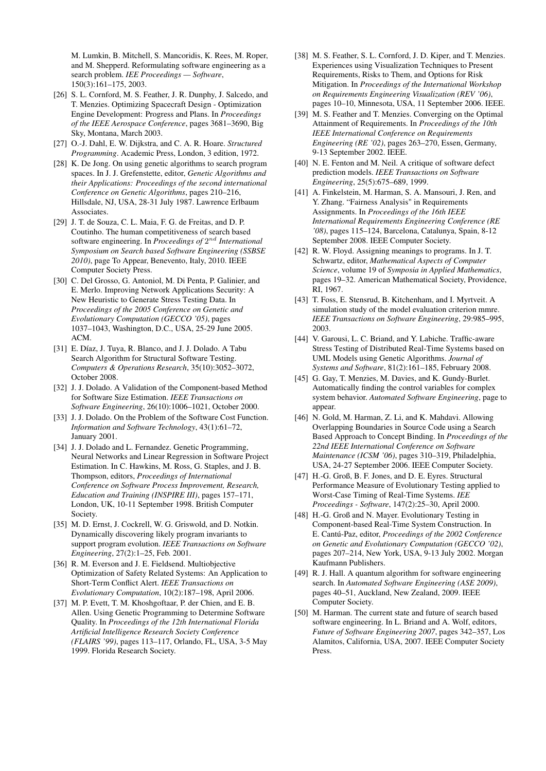M. Lumkin, B. Mitchell, S. Mancoridis, K. Rees, M. Roper, and M. Shepperd. Reformulating software engineering as a search problem. *IEE Proceedings — Software*, 150(3):161–175, 2003.

- [26] S. L. Cornford, M. S. Feather, J. R. Dunphy, J. Salcedo, and T. Menzies. Optimizing Spacecraft Design - Optimization Engine Development: Progress and Plans. In *Proceedings of the IEEE Aerospace Conference*, pages 3681–3690, Big Sky, Montana, March 2003.
- [27] O.-J. Dahl, E. W. Dijkstra, and C. A. R. Hoare. *Structured Programming*. Academic Press, London, 3 edition, 1972.
- [28] K. De Jong. On using genetic algorithms to search program spaces. In J. J. Grefenstette, editor, *Genetic Algorithms and their Applications: Proceedings of the second international Conference on Genetic Algorithms*, pages 210–216, Hillsdale, NJ, USA, 28-31 July 1987. Lawrence Erlbaum Associates.
- [29] J. T. de Souza, C. L. Maia, F. G. de Freitas, and D. P. Coutinho. The human competitiveness of search based software engineering. In *Proceedings of*  $2^{nd}$  *International Symposium on Search based Software Engineering (SSBSE 2010)*, page To Appear, Benevento, Italy, 2010. IEEE Computer Society Press.
- [30] C. Del Grosso, G. Antoniol, M. Di Penta, P. Galinier, and E. Merlo. Improving Network Applications Security: A New Heuristic to Generate Stress Testing Data. In *Proceedings of the 2005 Conference on Genetic and Evolutionary Computation (GECCO '05)*, pages 1037–1043, Washington, D.C., USA, 25-29 June 2005. ACM.
- [31] E. Díaz, J. Tuya, R. Blanco, and J. J. Dolado. A Tabu Search Algorithm for Structural Software Testing. *Computers & Operations Research*, 35(10):3052–3072, October 2008.
- [32] J. J. Dolado. A Validation of the Component-based Method for Software Size Estimation. *IEEE Transactions on Software Engineering*, 26(10):1006–1021, October 2000.
- [33] J. J. Dolado. On the Problem of the Software Cost Function. *Information and Software Technology*, 43(1):61–72, January 2001.
- [34] J. J. Dolado and L. Fernandez. Genetic Programming, Neural Networks and Linear Regression in Software Project Estimation. In C. Hawkins, M. Ross, G. Staples, and J. B. Thompson, editors, *Proceedings of International Conference on Software Process Improvement, Research, Education and Training (INSPIRE III)*, pages 157–171, London, UK, 10-11 September 1998. British Computer Society.
- [35] M. D. Ernst, J. Cockrell, W. G. Griswold, and D. Notkin. Dynamically discovering likely program invariants to support program evolution. *IEEE Transactions on Software Engineering*, 27(2):1–25, Feb. 2001.
- [36] R. M. Everson and J. E. Fieldsend. Multiobjective Optimization of Safety Related Systems: An Application to Short-Term Conflict Alert. *IEEE Transactions on Evolutionary Computation*, 10(2):187–198, April 2006.
- [37] M. P. Evett, T. M. Khoshgoftaar, P. der Chien, and E. B. Allen. Using Genetic Programming to Determine Software Quality. In *Proceedings of the 12th International Florida Artificial Intelligence Research Society Conference (FLAIRS '99)*, pages 113–117, Orlando, FL, USA, 3-5 May 1999. Florida Research Society.
- [38] M. S. Feather, S. L. Cornford, J. D. Kiper, and T. Menzies. Experiences using Visualization Techniques to Present Requirements, Risks to Them, and Options for Risk Mitigation. In *Proceedings of the International Workshop on Requirements Engineering Visualization (REV '06)*, pages 10–10, Minnesota, USA, 11 September 2006. IEEE.
- [39] M. S. Feather and T. Menzies. Converging on the Optimal Attainment of Requirements. In *Proceedings of the 10th IEEE International Conference on Requirements Engineering (RE '02)*, pages 263–270, Essen, Germany, 9-13 September 2002. IEEE.
- [40] N. E. Fenton and M. Neil. A critique of software defect prediction models. *IEEE Transactions on Software Engineering*, 25(5):675–689, 1999.
- [41] A. Finkelstein, M. Harman, S. A. Mansouri, J. Ren, and Y. Zhang. "Fairness Analysis" in Requirements Assignments. In *Proceedings of the 16th IEEE International Requirements Engineering Conference (RE '08)*, pages 115–124, Barcelona, Catalunya, Spain, 8-12 September 2008. IEEE Computer Society.
- [42] R. W. Floyd. Assigning meanings to programs. In J. T. Schwartz, editor, *Mathematical Aspects of Computer Science*, volume 19 of *Symposia in Applied Mathematics*, pages 19–32. American Mathematical Society, Providence, RI, 1967.
- [43] T. Foss, E. Stensrud, B. Kitchenham, and I. Myrtveit. A simulation study of the model evaluation criterion mmre. *IEEE Transactions on Software Engineering*, 29:985–995, 2003.
- [44] V. Garousi, L. C. Briand, and Y. Labiche. Traffic-aware Stress Testing of Distributed Real-Time Systems based on UML Models using Genetic Algorithms. *Journal of Systems and Software*, 81(2):161–185, February 2008.
- [45] G. Gay, T. Menzies, M. Davies, and K. Gundy-Burlet. Automatically finding the control variables for complex system behavior. *Automated Software Engineering*, page to appear.
- [46] N. Gold, M. Harman, Z. Li, and K. Mahdavi. Allowing Overlapping Boundaries in Source Code using a Search Based Approach to Concept Binding. In *Proceedings of the 22nd IEEE International Conference on Software Maintenance (ICSM '06)*, pages 310–319, Philadelphia, USA, 24-27 September 2006. IEEE Computer Society.
- [47] H.-G. Groß, B. F. Jones, and D. E. Eyres. Structural Performance Measure of Evolutionary Testing applied to Worst-Case Timing of Real-Time Systems. *IEE Proceedings - Software*, 147(2):25–30, April 2000.
- [48] H.-G. Groß and N. Mayer. Evolutionary Testing in Component-based Real-Time System Construction. In E. Cantú-Paz, editor, *Proceedings of the 2002 Conference on Genetic and Evolutionary Computation (GECCO '02)*, pages 207–214, New York, USA, 9-13 July 2002. Morgan Kaufmann Publishers.
- [49] R. J. Hall. A quantum algorithm for software engineering search. In *Automated Software Engineering (ASE 2009)*, pages 40–51, Auckland, New Zealand, 2009. IEEE Computer Society.
- [50] M. Harman. The current state and future of search based software engineering. In L. Briand and A. Wolf, editors, *Future of Software Engineering 2007*, pages 342–357, Los Alamitos, California, USA, 2007. IEEE Computer Society Press.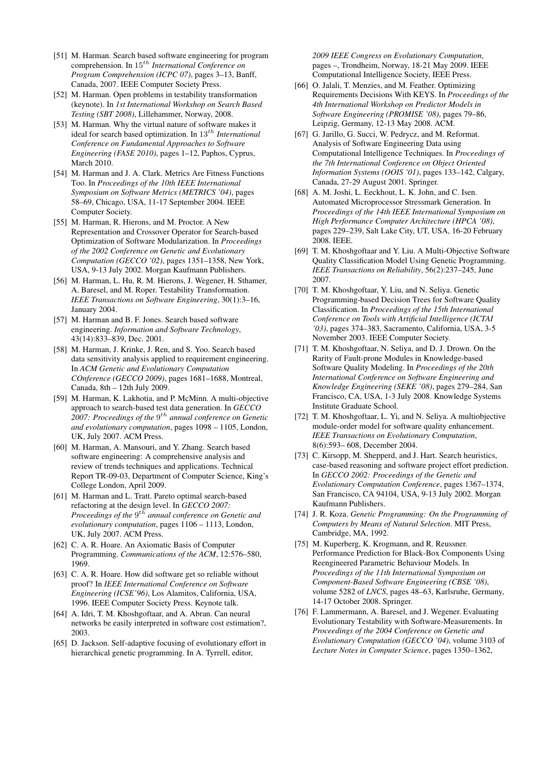- [51] M. Harman. Search based software engineering for program comprehension. In 15th *International Conference on Program Comprehension (ICPC 07)*, pages 3–13, Banff, Canada, 2007. IEEE Computer Society Press.
- [52] M. Harman. Open problems in testability transformation (keynote). In *1st International Workshop on Search Based Testing (SBT 2008)*, Lillehammer, Norway, 2008.
- [53] M. Harman. Why the virtual nature of software makes it ideal for search based optimization. In 13th *International Conference on Fundamental Approaches to Software Engineering (FASE 2010)*, pages 1–12, Paphos, Cyprus, March 2010.
- [54] M. Harman and J. A. Clark. Metrics Are Fitness Functions Too. In *Proceedings of the 10th IEEE International Symposium on Software Metrics (METRICS '04)*, pages 58–69, Chicago, USA, 11-17 September 2004. IEEE Computer Society.
- [55] M. Harman, R. Hierons, and M. Proctor. A New Representation and Crossover Operator for Search-based Optimization of Software Modularization. In *Proceedings of the 2002 Conference on Genetic and Evolutionary Computation (GECCO '02)*, pages 1351–1358, New York, USA, 9-13 July 2002. Morgan Kaufmann Publishers.
- [56] M. Harman, L. Hu, R. M. Hierons, J. Wegener, H. Sthamer, A. Baresel, and M. Roper. Testability Transformation. *IEEE Transactions on Software Engineering*, 30(1):3–16, January 2004.
- [57] M. Harman and B. F. Jones. Search based software engineering. *Information and Software Technology*, 43(14):833–839, Dec. 2001.
- [58] M. Harman, J. Krinke, J. Ren, and S. Yoo. Search based data sensitivity analysis applied to requirement engineering. In *ACM Genetic and Evolutionary Computation COnference (GECCO 2009)*, pages 1681–1688, Montreal, Canada, 8th – 12th July 2009.
- [59] M. Harman, K. Lakhotia, and P. McMinn. A multi-objective approach to search-based test data generation. In *GECCO* 2007: Proceedings of the 9<sup>th</sup> annual conference on Genetic *and evolutionary computation*, pages 1098 – 1105, London, UK, July 2007. ACM Press.
- [60] M. Harman, A. Mansouri, and Y. Zhang. Search based software engineering: A comprehensive analysis and review of trends techniques and applications. Technical Report TR-09-03, Department of Computer Science, King's College London, April 2009.
- [61] M. Harman and L. Tratt. Pareto optimal search-based refactoring at the design level. In *GECCO 2007:* Proceedings of the  $9^{th}$  annual conference on Genetic and *evolutionary computation*, pages 1106 – 1113, London, UK, July 2007. ACM Press.
- [62] C. A. R. Hoare. An Axiomatic Basis of Computer Programming. *Communications of the ACM*, 12:576–580, 1969.
- [63] C. A. R. Hoare. How did software get so reliable without proof? In *IEEE International Conference on Software Engineering (ICSE'96)*, Los Alamitos, California, USA, 1996. IEEE Computer Society Press. Keynote talk.
- [64] A. Idri, T. M. Khoshgoftaar, and A. Abran. Can neural networks be easily interpreted in software cost estimation?, 2003.
- [65] D. Jackson. Self-adaptive focusing of evolutionary effort in hierarchical genetic programming. In A. Tyrrell, editor,

*2009 IEEE Congress on Evolutionary Computation*, pages –, Trondheim, Norway, 18-21 May 2009. IEEE Computational Intelligence Society, IEEE Press.

- [66] O. Jalali, T. Menzies, and M. Feather. Optimizing Requirements Decisions With KEYS. In *Proceedings of the 4th International Workshop on Predictor Models in Software Engineering (PROMISE '08)*, pages 79–86, Leipzig, Germany, 12-13 May 2008. ACM.
- [67] G. Jarillo, G. Succi, W. Pedrycz, and M. Reformat. Analysis of Software Engineering Data using Computational Intelligence Techniques. In *Proceedings of the 7th International Conference on Object Oriented Information Systems (OOIS '01)*, pages 133–142, Calgary, Canada, 27-29 August 2001. Springer.
- [68] A. M. Joshi, L. Eeckhout, L. K. John, and C. Isen. Automated Microprocessor Stressmark Generation. In *Proceedings of the 14th IEEE International Symposium on High Performance Computer Architecture (HPCA '08)*, pages 229–239, Salt Lake City, UT, USA, 16-20 February 2008. IEEE.
- [69] T. M. Khoshgoftaar and Y. Liu. A Multi-Objective Software Quality Classification Model Using Genetic Programming. *IEEE Transactions on Reliability*, 56(2):237–245, June 2007.
- [70] T. M. Khoshgoftaar, Y. Liu, and N. Seliya. Genetic Programming-based Decision Trees for Software Quality Classification. In *Proceedings of the 15th International Conference on Tools with Artificial Intelligence (ICTAI '03)*, pages 374–383, Sacramento, California, USA, 3-5 November 2003. IEEE Computer Society.
- [71] T. M. Khoshgoftaar, N. Seliya, and D. J. Drown. On the Rarity of Fault-prone Modules in Knowledge-based Software Quality Modeling. In *Proceedings of the 20th International Conference on Software Engineering and Knowledge Engineering (SEKE '08)*, pages 279–284, San Francisco, CA, USA, 1-3 July 2008. Knowledge Systems Institute Graduate School.
- [72] T. M. Khoshgoftaar, L. Yi, and N. Seliya. A multiobjective module-order model for software quality enhancement. *IEEE Transactions on Evolutionary Computation*, 8(6):593– 608, December 2004.
- [73] C. Kirsopp, M. Shepperd, and J. Hart. Search heuristics, case-based reasoning and software project effort prediction. In *GECCO 2002: Proceedings of the Genetic and Evolutionary Computation Conference*, pages 1367–1374, San Francisco, CA 94104, USA, 9-13 July 2002. Morgan Kaufmann Publishers.
- [74] J. R. Koza. *Genetic Programming: On the Programming of Computers by Means of Natural Selection*. MIT Press, Cambridge, MA, 1992.
- [75] M. Kuperberg, K. Krogmann, and R. Reussner. Performance Prediction for Black-Box Components Using Reengineered Parametric Behaviour Models. In *Proceedings of the 11th International Symposium on Component-Based Software Engineering (CBSE '08)*, volume 5282 of *LNCS*, pages 48–63, Karlsruhe, Germany, 14-17 October 2008. Springer.
- [76] F. Lammermann, A. Baresel, and J. Wegener. Evaluating Evolutionary Testability with Software-Measurements. In *Proceedings of the 2004 Conference on Genetic and Evolutionary Computation (GECCO '04)*, volume 3103 of *Lecture Notes in Computer Science*, pages 1350–1362,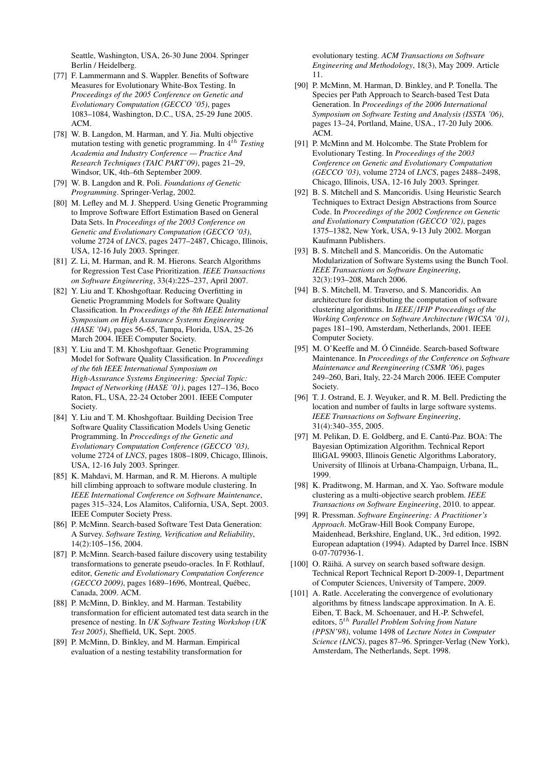Seattle, Washington, USA, 26-30 June 2004. Springer Berlin / Heidelberg.

- [77] F. Lammermann and S. Wappler. Benefits of Software Measures for Evolutionary White-Box Testing. In *Proceedings of the 2005 Conference on Genetic and Evolutionary Computation (GECCO '05)*, pages 1083–1084, Washington, D.C., USA, 25-29 June 2005. ACM.
- [78] W. B. Langdon, M. Harman, and Y. Jia. Multi objective mutation testing with genetic programming. In  $4^{th}$  Testing *Academia and Industry Conference — Practice And Research Techniques (TAIC PART'09)*, pages 21–29, Windsor, UK, 4th–6th September 2009.
- [79] W. B. Langdon and R. Poli. *Foundations of Genetic Programming*. Springer-Verlag, 2002.
- [80] M. Lefley and M. J. Shepperd. Using Genetic Programming to Improve Software Effort Estimation Based on General Data Sets. In *Proceedings of the 2003 Conference on Genetic and Evolutionary Computation (GECCO '03)*, volume 2724 of *LNCS*, pages 2477–2487, Chicago, Illinois, USA, 12-16 July 2003. Springer.
- [81] Z. Li, M. Harman, and R. M. Hierons. Search Algorithms for Regression Test Case Prioritization. *IEEE Transactions on Software Engineering*, 33(4):225–237, April 2007.
- [82] Y. Liu and T. Khoshgoftaar. Reducing Overfitting in Genetic Programming Models for Software Quality Classification. In *Proceedings of the 8th IEEE International Symposium on High Assurance Systems Engineering (HASE '04)*, pages 56–65, Tampa, Florida, USA, 25-26 March 2004. IEEE Computer Society.
- [83] Y. Liu and T. M. Khoshgoftaar. Genetic Programming Model for Software Quality Classification. In *Proceedings of the 6th IEEE International Symposium on High-Assurance Systems Engineering: Special Topic: Impact of Networking (HASE '01)*, pages 127–136, Boco Raton, FL, USA, 22-24 October 2001. IEEE Computer Society.
- [84] Y. Liu and T. M. Khoshgoftaar. Building Decision Tree Software Quality Classification Models Using Genetic Programming. In *Proccedings of the Genetic and Evolutionary Computation Conference (GECCO '03)*, volume 2724 of *LNCS*, pages 1808–1809, Chicago, Illinois, USA, 12-16 July 2003. Springer.
- [85] K. Mahdavi, M. Harman, and R. M. Hierons. A multiple hill climbing approach to software module clustering. In *IEEE International Conference on Software Maintenance*, pages 315–324, Los Alamitos, California, USA, Sept. 2003. IEEE Computer Society Press.
- [86] P. McMinn. Search-based Software Test Data Generation: A Survey. *Software Testing, Verification and Reliability*, 14(2):105–156, 2004.
- [87] P. McMinn. Search-based failure discovery using testability transformations to generate pseudo-oracles. In F. Rothlauf, editor, *Genetic and Evolutionary Computation Conference (GECCO 2009)*, pages 1689–1696, Montreal, Québec, Canada, 2009. ACM.
- [88] P. McMinn, D. Binkley, and M. Harman. Testability transformation for efficient automated test data search in the presence of nesting. In *UK Software Testing Workshop (UK Test 2005)*, Sheffield, UK, Sept. 2005.
- [89] P. McMinn, D. Binkley, and M. Harman. Empirical evaluation of a nesting testability transformation for

evolutionary testing. *ACM Transactions on Software Engineering and Methodology*, 18(3), May 2009. Article 11.

- [90] P. McMinn, M. Harman, D. Binkley, and P. Tonella. The Species per Path Approach to Search-based Test Data Generation. In *Proceedings of the 2006 International Symposium on Software Testing and Analysis (ISSTA '06)*, pages 13–24, Portland, Maine, USA., 17-20 July 2006. ACM.
- [91] P. McMinn and M. Holcombe. The State Problem for Evolutionary Testing. In *Proceedings of the 2003 Conference on Genetic and Evolutionary Computation (GECCO '03)*, volume 2724 of *LNCS*, pages 2488–2498, Chicago, Illinois, USA, 12-16 July 2003. Springer.
- [92] B. S. Mitchell and S. Mancoridis. Using Heuristic Search Techniques to Extract Design Abstractions from Source Code. In *Proceedings of the 2002 Conference on Genetic and Evolutionary Computation (GECCO '02)*, pages 1375–1382, New York, USA, 9-13 July 2002. Morgan Kaufmann Publishers.
- [93] B. S. Mitchell and S. Mancoridis. On the Automatic Modularization of Software Systems using the Bunch Tool. *IEEE Transactions on Software Engineering*, 32(3):193–208, March 2006.
- [94] B. S. Mitchell, M. Traverso, and S. Mancoridis. An architecture for distributing the computation of software clustering algorithms. In *IEEE*/*IFIP Proceedings of the Working Conference on Software Architecture (WICSA '01)*, pages 181–190, Amsterdam, Netherlands, 2001. IEEE Computer Society.
- [95] M. O'Keeffe and M. Ó Cinnéide. Search-based Software Maintenance. In *Proceedings of the Conference on Software Maintenance and Reengineering (CSMR '06)*, pages 249–260, Bari, Italy, 22-24 March 2006. IEEE Computer Society.
- [96] T. J. Ostrand, E. J. Weyuker, and R. M. Bell. Predicting the location and number of faults in large software systems. *IEEE Transactions on Software Engineering*, 31(4):340–355, 2005.
- [97] M. Pelikan, D. E. Goldberg, and E. Cantú-Paz. BOA: The Bayesian Optimization Algorithm. Technical Report IlliGAL 99003, Illinois Genetic Algorithms Laboratory, University of Illinois at Urbana-Champaign, Urbana, IL, 1999.
- [98] K. Praditwong, M. Harman, and X. Yao. Software module clustering as a multi-objective search problem. *IEEE Transactions on Software Engineering*, 2010. to appear.
- [99] R. Pressman. *Software Engineering: A Practitioner's Approach*. McGraw-Hill Book Company Europe, Maidenhead, Berkshire, England, UK., 3rd edition, 1992. European adaptation (1994). Adapted by Darrel Ince. ISBN 0-07-707936-1.
- [100] O. Räihä. A survey on search based software design. Technical Report Technical Report D-2009-1, Department of Computer Sciences, University of Tampere, 2009.
- [101] A. Ratle. Accelerating the convergence of evolutionary algorithms by fitness landscape approximation. In A. E. Eiben, T. Back, M. Schoenauer, and H.-P. Schwefel, editors, 5 th *Parallel Problem Solving from Nature (PPSN'98)*, volume 1498 of *Lecture Notes in Computer Science (LNCS)*, pages 87–96. Springer-Verlag (New York), Amsterdam, The Netherlands, Sept. 1998.